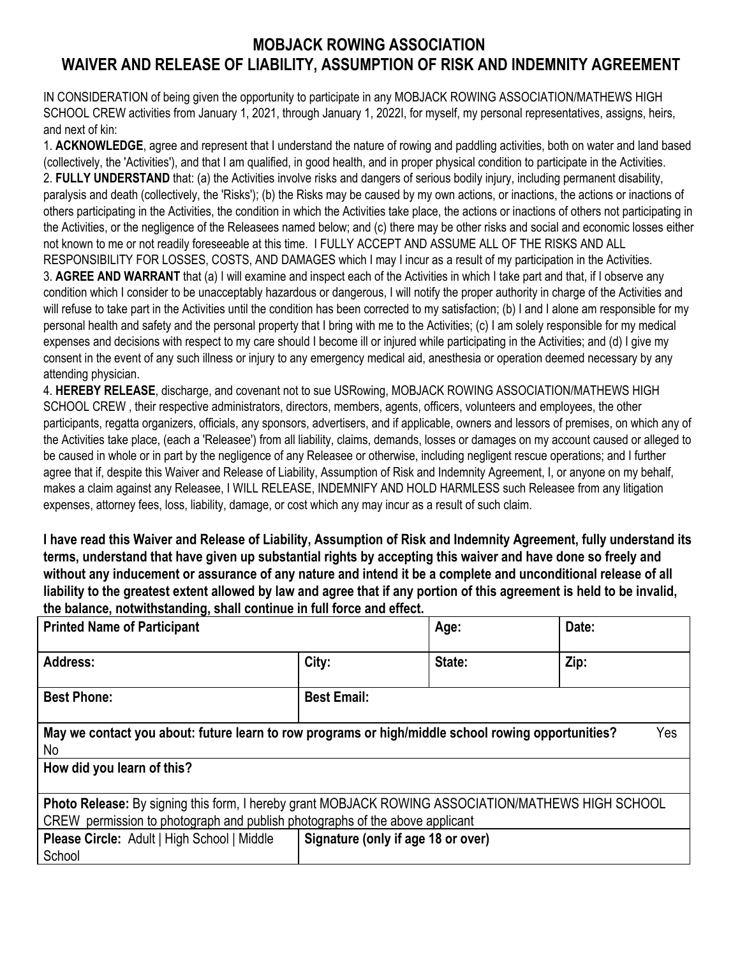## **MOBJACK ROWING ASSOCIATION WAIVER AND RELEASE OF LIABILITY, ASSUMPTION OF RISK AND INDEMNITY AGREEMENT**

IN CONSIDERATION of being given the opportunity to participate in any MOBJACK ROWING ASSOCIATION/MATHEWS HIGH SCHOOL CREW activities from January 1, 2021, through January 1, 2022I, for myself, my personal representatives, assigns, heirs, and next of kin:

1. **ACKNOWLEDGE**, agree and represent that I understand the nature of rowing and paddling activities, both on water and land based (collectively, the 'Activities'), and that I am qualified, in good health, and in proper physical condition to participate in the Activities. 2. **FULLY UNDERSTAND** that: (a) the Activities involve risks and dangers of serious bodily injury, including permanent disability, paralysis and death (collectively, the 'Risks'); (b) the Risks may be caused by my own actions, or inactions, the actions or inactions of others participating in the Activities, the condition in which the Activities take place, the actions or inactions of others not participating in the Activities, or the negligence of the Releasees named below; and (c) there may be other risks and social and economic losses either not known to me or not readily foreseeable at this time. I FULLY ACCEPT AND ASSUME ALL OF THE RISKS AND ALL RESPONSIBILITY FOR LOSSES, COSTS, AND DAMAGES which I may I incur as a result of my participation in the Activities. 3. **AGREE AND WARRANT** that (a) I will examine and inspect each of the Activities in which I take part and that, if I observe any condition which I consider to be unacceptably hazardous or dangerous, I will notify the proper authority in charge of the Activities and will refuse to take part in the Activities until the condition has been corrected to my satisfaction; (b) I and I alone am responsible for my personal health and safety and the personal property that I bring with me to the Activities; (c) I am solely responsible for my medical expenses and decisions with respect to my care should I become ill or injured while participating in the Activities; and (d) I give my consent in the event of any such illness or injury to any emergency medical aid, anesthesia or operation deemed necessary by any attending physician.

4. **HEREBY RELEASE**, discharge, and covenant not to sue USRowing, MOBJACK ROWING ASSOCIATION/MATHEWS HIGH SCHOOL CREW , their respective administrators, directors, members, agents, officers, volunteers and employees, the other participants, regatta organizers, officials, any sponsors, advertisers, and if applicable, owners and lessors of premises, on which any of the Activities take place, (each a 'Releasee') from all liability, claims, demands, losses or damages on my account caused or alleged to be caused in whole or in part by the negligence of any Releasee or otherwise, including negligent rescue operations; and I further agree that if, despite this Waiver and Release of Liability, Assumption of Risk and Indemnity Agreement, I, or anyone on my behalf, makes a claim against any Releasee, I WILL RELEASE, INDEMNIFY AND HOLD HARMLESS such Releasee from any litigation expenses, attorney fees, loss, liability, damage, or cost which any may incur as a result of such claim.

**I have read this Waiver and Release of Liability, Assumption of Risk and Indemnity Agreement, fully understand its terms, understand that have given up substantial rights by accepting this waiver and have done so freely and without any inducement or assurance of any nature and intend it be a complete and unconditional release of all liability to the greatest extent allowed by law and agree that if any portion of this agreement is held to be invalid, the balance, notwithstanding, shall continue in full force and effect.**

| <b>Printed Name of Participant</b>                                                                                                                                                 |                                    | Age:   | Date: |
|------------------------------------------------------------------------------------------------------------------------------------------------------------------------------------|------------------------------------|--------|-------|
| Address:                                                                                                                                                                           | City:                              | State: | Zip:  |
| <b>Best Phone:</b>                                                                                                                                                                 | <b>Best Email:</b>                 |        |       |
| May we contact you about: future learn to row programs or high/middle school rowing opportunities?<br>Yes<br>No                                                                    |                                    |        |       |
| How did you learn of this?                                                                                                                                                         |                                    |        |       |
| Photo Release: By signing this form, I hereby grant MOBJACK ROWING ASSOCIATION/MATHEWS HIGH SCHOOL<br>CREW permission to photograph and publish photographs of the above applicant |                                    |        |       |
| <b>Please Circle: Adult   High School   Middle</b><br>School                                                                                                                       | Signature (only if age 18 or over) |        |       |